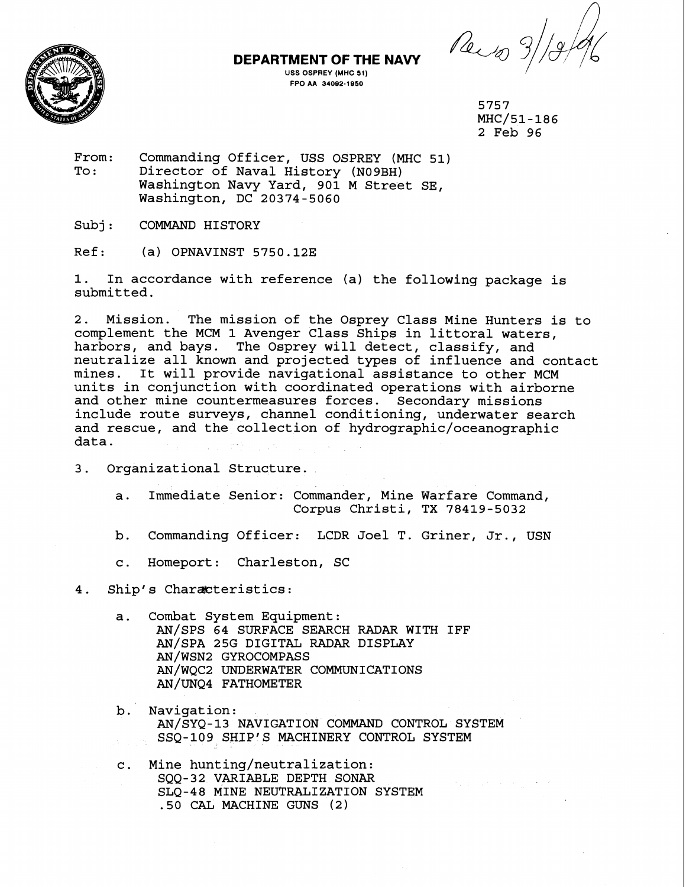**NAVY** 3b8&



**DEPARTMENT OF THE** 

**USS OSPREY (MHC 51) FPO AA 34002-1050** 

> 5757 MHC/51-186 2 Feb 96

Australian Construction

From: Commanding Officer, USS OSPREY (MHC 51)<br>To: Director of Naval History (N09RH) To : Commanding Officer, 055 OSPRET (MAC<br>To: Director of Naval History (N09BH) Washington Navy Yard, 901 M Street SE, Washington, DC 20374-5060

Subj: COMMAND HISTORY

Ref: (a) OPNAVINST 5750.12E

**1.** In accordance with reference (a) the following package is submitted.

2. Mission. The mission of the Osprey Class Mine Hunters is to complement the MCM 1 Avenger Class Ships in littoral waters, harbors, and bays. The Osprey will detect, classify, and neutralize all known and projected types of influence and contact mines. It will provide navigational assistance to other MCM units in conjunction with coordinated operations with airborne and other mine countermeasures forces. Secondary missions include route surveys, channel conditioning, underwater search and rescue, and the collection of **hydrographic/oceanographic**  data.

- 3. Organizational Structure.
	- a. Immediate Senior: Commander, Mine Warfare Command, Corpus Christi, TX 78419-5032
	- b. Commanding Officer: LCDR Joel T. Griner, Jr., USN
	- c. Homeport: Charleston, SC

4. Ship's Characteristics:

- a. Combat System Equipment: AN/SPS 64 SURFACE SEARCH RADAR WITH IFF AN/SPA 25G DIGITAL RADAR DISPLAY AN/WSN2 GYROCOMPASS AN/WQC2 UNDERWATER COMMUNICATIONS AN/UNQ4 FATHOMETER
- b. Navigation: AN/sYQ-13 NAVIGATION COMMAND CONTROL SYSTEM SSQ-109 SHIP'S MACHINERY CONTROL SYSTEM
- c. Mine hunting/neutralization: SQQ-32 VARIABLE DEPTH SONAR SLQ-48 MINE NEUTRALIZATION SYSTEM .50 CAL MACHINE GUNS **(2)**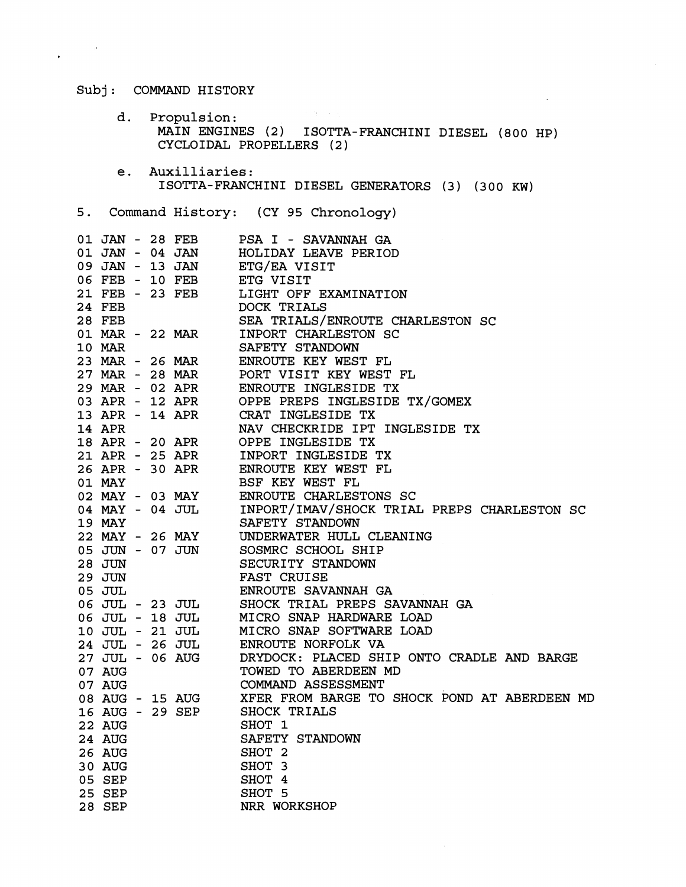Subj: COMMAND HISTORY

 $\label{eq:2.1} \frac{1}{\sqrt{2\pi}}\int_{0}^{\frac{1}{2}}\frac{dx}{(x^2+y^2)^2}dx$ 

 $\mathcal{L}^{\text{max}}(\mathcal{H}^{\text{max}}_{\text{max}})$ d. Propulsion: MAIN ENGINES **(2)** ISOTTA-FRANCHINI DIESEL **(800** HP) CYCLOIDAL PROPELLERS **(2)** 

 $\lambda$ 

e. Auxilliaries: ISOTTA-FRANCHINI DIESEL GENERATORS **(3) (300** KW)

**5.** Command History: (CY **95** Chronology)

|               |  | 01 JAN - 28 FEB PSA I - SAVANNAH GA 01 JAN - 04 JAN HOLIDAY LEAVE PERIOD 09 JAN - 13 JAN ETG/EA VISIT                                                                                                                                    |
|---------------|--|------------------------------------------------------------------------------------------------------------------------------------------------------------------------------------------------------------------------------------------|
|               |  | 06 FEB - 10 FEB ETG VISIT                                                                                                                                                                                                                |
|               |  |                                                                                                                                                                                                                                          |
|               |  |                                                                                                                                                                                                                                          |
|               |  |                                                                                                                                                                                                                                          |
|               |  |                                                                                                                                                                                                                                          |
|               |  | 01 MAR - 22 MAR INPORT CHARLESTON SC                                                                                                                                                                                                     |
| <b>10 MAR</b> |  | SAFETY STANDOWN                                                                                                                                                                                                                          |
|               |  | 23 MAR - 26 MAR ENROUTE KEY WEST FL                                                                                                                                                                                                      |
|               |  | 27 MAR - 28 MAR PORT VISIT KEY WEST FL                                                                                                                                                                                                   |
|               |  | 29 MAR - 02 APR ENROUTE INGLESIDE TX<br>03 APR - 12 APR OPPE PREPS INGLESIDE TX/GOMEX<br>13 APR - 14 APR CRAT INGLESIDE TX                                                                                                               |
|               |  |                                                                                                                                                                                                                                          |
|               |  |                                                                                                                                                                                                                                          |
| <b>14 APR</b> |  | NAV CHECKRIDE IPT INGLESIDE TX                                                                                                                                                                                                           |
|               |  |                                                                                                                                                                                                                                          |
|               |  | 18 APR - 20 APR OPPE INGLESIDE TX<br>21 APR - 25 APR INPORT INGLESIDE TX<br>26 APR - 30 APR ENROUTE KEY WEST FL                                                                                                                          |
|               |  |                                                                                                                                                                                                                                          |
|               |  |                                                                                                                                                                                                                                          |
|               |  | 01 MAY 30 THE SAFET AND SERVICE THE SAFET PLANEST PLANEST PLANES OF MAY 4 OF THE SAFETY STANDOWN SC THAN THE MAY SAFETY STANDOWN                                                                                                         |
|               |  |                                                                                                                                                                                                                                          |
|               |  | SAFETY STANDOWN                                                                                                                                                                                                                          |
|               |  | 22 MAY - 26 MAY UNDERWATER HULL CLEANING<br>05 JUN - 07 JUN SOSMRC SCHOOL SHIP<br>28 JUN SECURITY STANDOWN<br>29 JUN FAST CRUISE                                                                                                         |
|               |  |                                                                                                                                                                                                                                          |
|               |  |                                                                                                                                                                                                                                          |
|               |  |                                                                                                                                                                                                                                          |
|               |  |                                                                                                                                                                                                                                          |
|               |  | 29 JOM FAST CROISE<br>05 JUL - 23 JUL ENROUTE SAVANNAH GA<br>06 JUL - 18 JUL MICRO SNAP HARDWARE LOAD<br>10 JUL - 21 JUL MICRO SNAP SOFTWARE LOAD<br>24 JUL - 26 JUL ENROUTE NORFOLK VA<br>27 JUL - 06 AUG DRYDOCK: PLACED SHIP ONTO CRA |
|               |  |                                                                                                                                                                                                                                          |
|               |  |                                                                                                                                                                                                                                          |
|               |  |                                                                                                                                                                                                                                          |
|               |  |                                                                                                                                                                                                                                          |
|               |  |                                                                                                                                                                                                                                          |
|               |  |                                                                                                                                                                                                                                          |
|               |  |                                                                                                                                                                                                                                          |
|               |  | 07 AUG<br>08 AUG - 15 AUG XFER FROM BARGE TO SHOCK POND AT ABERDEEN MD<br>16 AUG - 29 SEP SHOCK TRIALS<br>22 AUG SHOT 1                                                                                                                  |
|               |  | SHOT 1                                                                                                                                                                                                                                   |
| 22 AUG        |  |                                                                                                                                                                                                                                          |
| 24 AUG        |  | SAFETY STANDOWN                                                                                                                                                                                                                          |
| 26 AUG        |  | SHOT <sub>2</sub>                                                                                                                                                                                                                        |
| 30 AUG        |  | SHOT 3                                                                                                                                                                                                                                   |
| 05 SEP        |  | SHOT 4                                                                                                                                                                                                                                   |
| 25 SEP        |  | SHOT 5                                                                                                                                                                                                                                   |
| 28 SEP        |  | NRR WORKSHOP                                                                                                                                                                                                                             |